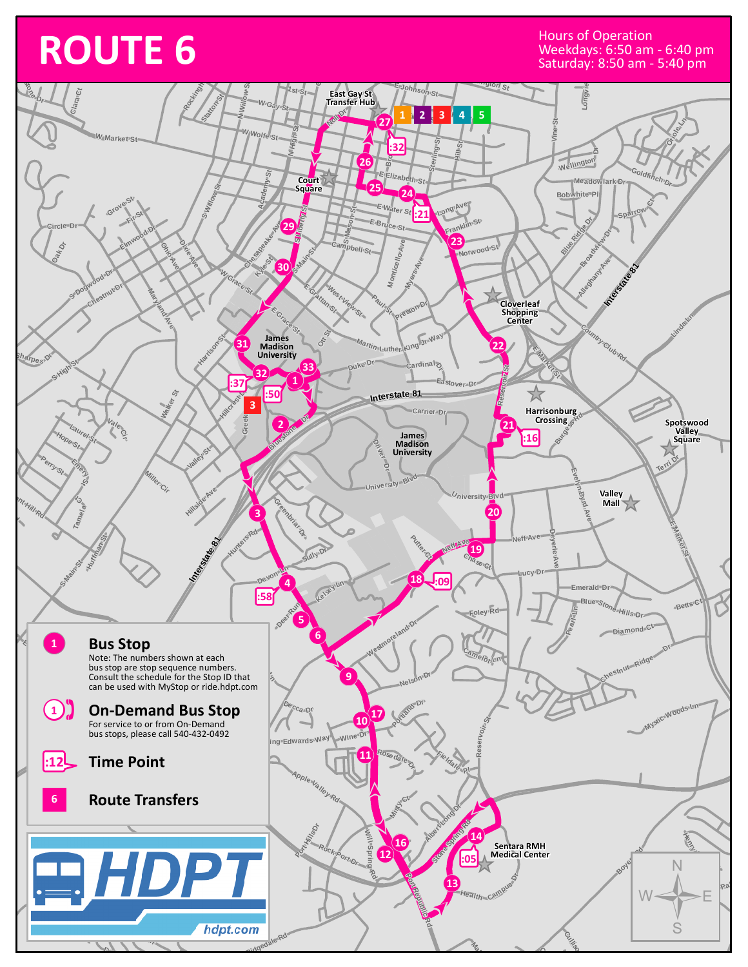## **ROUTE 6** Hours of Operation<br>
MacAdays: 6:50 am<br>
Saturday: 8:50 am

Weekdays: 6:50 am - 6:40 pm Saturday: 8:50 am - 5:40 pm